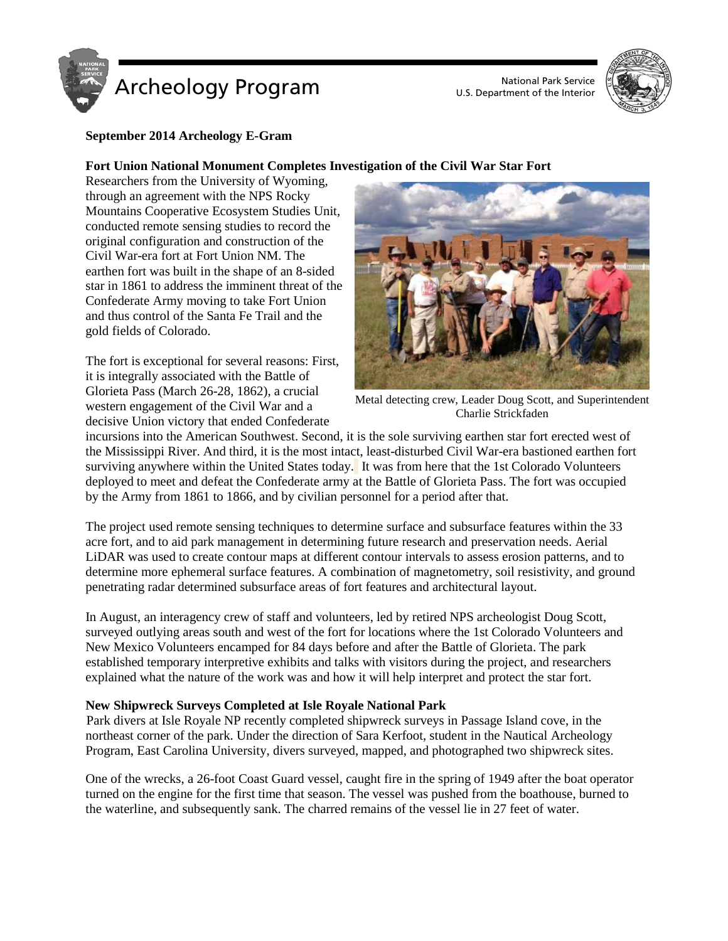



## **September 2014 Archeology E-Gram**

## **Fort Union National Monument Completes Investigation of the Civil War Star Fort**

Researchers from the University of Wyoming, through an agreement with the NPS Rocky Mountains Cooperative Ecosystem Studies Unit, conducted remote sensing studies to record the original configuration and construction of the Civil War-era fort at Fort Union NM. The earthen fort was built in the shape of an 8-sided star in 1861 to address the imminent threat of the Confederate Army moving to take Fort Union and thus control of the Santa Fe Trail and the gold fields of Colorado.

The fort is exceptional for several reasons: First, it is integrally associated with the Battle of Glorieta Pass (March 26-28, 1862), a crucial western engagement of the Civil War and a decisive Union victory that ended Confederate



Metal detecting crew, Leader Doug Scott, and Superintendent Charlie Strickfaden

incursions into the American Southwest. Second, it is the sole surviving earthen star fort erected west of the Mississippi River. And third, it is the most intact, least-disturbed Civil War-era bastioned earthen fort surviving anywhere within the United States today. It was from here that the 1st Colorado Volunteers deployed to meet and defeat the Confederate army at the Battle of Glorieta Pass. The fort was occupied by the Army from 1861 to 1866, and by civilian personnel for a period after that.

The project used remote sensing techniques to determine surface and subsurface features within the 33 acre fort, and to aid park management in determining future research and preservation needs. Aerial LiDAR was used to create contour maps at different contour intervals to assess erosion patterns, and to determine more ephemeral surface features. A combination of magnetometry, soil resistivity, and ground penetrating radar determined subsurface areas of fort features and architectural layout.

In August, an interagency crew of staff and volunteers, led by retired NPS archeologist Doug Scott, surveyed outlying areas south and west of the fort for locations where the 1st Colorado Volunteers and New Mexico Volunteers encamped for 84 days before and after the Battle of Glorieta. The park established temporary interpretive exhibits and talks with visitors during the project, and researchers explained what the nature of the work was and how it will help interpret and protect the star fort.

## **New Shipwreck Surveys Completed at Isle Royale National Park**

Park divers at Isle Royale NP recently completed shipwreck surveys in Passage Island cove, in the northeast corner of the park. Under the direction of Sara Kerfoot, student in the Nautical Archeology Program, East Carolina University, divers surveyed, mapped, and photographed two shipwreck sites.

One of the wrecks, a 26-foot Coast Guard vessel, caught fire in the spring of 1949 after the boat operator turned on the engine for the first time that season. The vessel was pushed from the boathouse, burned to the waterline, and subsequently sank. The charred remains of the vessel lie in 27 feet of water.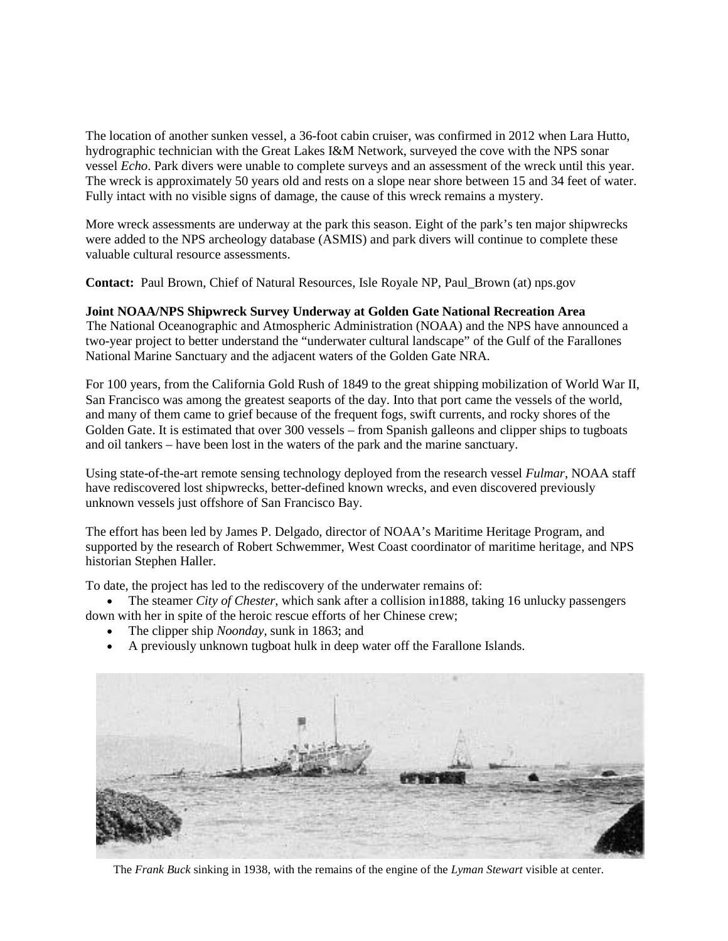The location of another sunken vessel, a 36-foot cabin cruiser, was confirmed in 2012 when Lara Hutto, hydrographic technician with the Great Lakes I&M Network, surveyed the cove with the NPS sonar vessel *Echo*. Park divers were unable to complete surveys and an assessment of the wreck until this year. The wreck is approximately 50 years old and rests on a slope near shore between 15 and 34 feet of water. Fully intact with no visible signs of damage, the cause of this wreck remains a mystery.

More wreck assessments are underway at the park this season. Eight of the park's ten major shipwrecks were added to the NPS archeology database (ASMIS) and park divers will continue to complete these valuable cultural resource assessments.

**Contact:** Paul Brown, Chief of Natural Resources, Isle Royale NP, Paul\_Brown (at) nps.gov

### **Joint NOAA/NPS Shipwreck Survey Underway at Golden Gate National Recreation Area**

The National Oceanographic and Atmospheric Administration (NOAA) and the NPS have announced a two-year project to better understand the "underwater cultural landscape" of the Gulf of the Farallones National Marine Sanctuary and the adjacent waters of the Golden Gate NRA.

For 100 years, from the California Gold Rush of 1849 to the great shipping mobilization of World War II, San Francisco was among the greatest seaports of the day. Into that port came the vessels of the world, and many of them came to grief because of the frequent fogs, swift currents, and rocky shores of the Golden Gate. It is estimated that over 300 vessels – from Spanish galleons and clipper ships to tugboats and oil tankers – have been lost in the waters of the park and the marine sanctuary.

Using state-of-the-art remote sensing technology deployed from the research vessel *Fulmar*, NOAA staff have rediscovered lost shipwrecks, better-defined known wrecks, and even discovered previously unknown vessels just offshore of San Francisco Bay.

The effort has been led by James P. Delgado, director of NOAA's Maritime Heritage Program, and supported by the research of Robert Schwemmer, West Coast coordinator of maritime heritage, and NPS historian Stephen Haller.

To date, the project has led to the rediscovery of the underwater remains of:

• The steamer *City of Chester*, which sank after a collision in1888, taking 16 unlucky passengers down with her in spite of the heroic rescue efforts of her Chinese crew;

- The clipper ship *Noonday*, sunk in 1863; and
- A previously unknown tugboat hulk in deep water off the Farallone Islands.



The *Frank Buck* sinking in 1938, with the remains of the engine of the *Lyman Stewart* visible at center.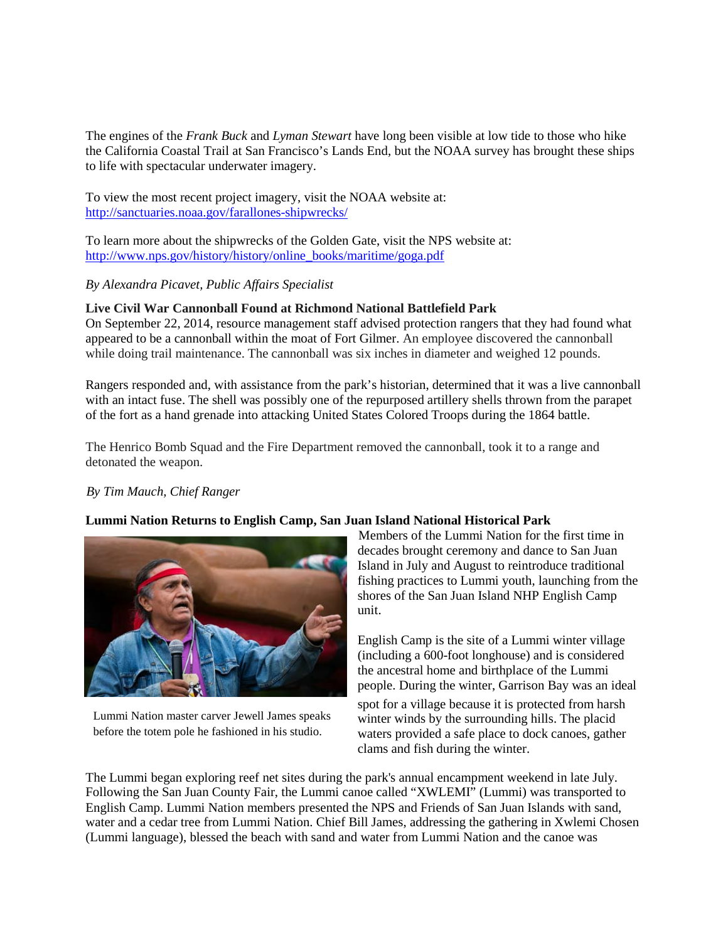The engines of the *Frank Buck* and *Lyman Stewart* have long been visible at low tide to those who hike the California Coastal Trail at San Francisco's Lands End, but the NOAA survey has brought these ships to life with spectacular underwater imagery.

To view the most recent project imagery, visit the NOAA website at: <http://sanctuaries.noaa.gov/farallones-shipwrecks/>

To learn more about the shipwrecks of the Golden Gate, visit the NPS website at: [http://www.nps.gov/history/history/online\\_books/maritime/goga.pdf](http://www.nps.gov/history/history/online_books/maritime/goga.pdf)

*By Alexandra Picavet, Public Affairs Specialist*

# **Live Civil War Cannonball Found at Richmond National Battlefield Park**

On September 22, 2014, resource management staff advised protection rangers that they had found what appeared to be a cannonball within the moat of Fort Gilmer. An employee discovered the cannonball while doing trail maintenance. The cannonball was six inches in diameter and weighed 12 pounds.

Rangers responded and, with assistance from the park's historian, determined that it was a live cannonball with an intact fuse. The shell was possibly one of the repurposed artillery shells thrown from the parapet of the fort as a hand grenade into attacking United States Colored Troops during the 1864 battle.

The Henrico Bomb Squad and the Fire Department removed the cannonball, took it to a range and detonated the weapon.

## *By Tim Mauch, Chief Ranger*

## **Lummi Nation Returns to English Camp, San Juan Island National Historical Park**



Lummi Nation master carver Jewell James speaks before the totem pole he fashioned in his studio.

Members of the Lummi Nation for the first time in decades brought ceremony and dance to San Juan Island in July and August to reintroduce traditional fishing practices to Lummi youth, launching from the shores of the San Juan Island NHP English Camp unit.

English Camp is the site of a Lummi winter village (including a 600-foot longhouse) and is considered the ancestral home and birthplace of the Lummi people. During the winter, Garrison Bay was an ideal

spot for a village because it is protected from harsh winter winds by the surrounding hills. The placid waters provided a safe place to dock canoes, gather clams and fish during the winter.

The Lummi began exploring reef net sites during the park's annual encampment weekend in late July. Following the San Juan County Fair, the Lummi canoe called "XWLEMI" (Lummi) was transported to English Camp. Lummi Nation members presented the NPS and Friends of San Juan Islands with sand, water and a cedar tree from Lummi Nation. Chief Bill James, addressing the gathering in Xwlemi Chosen (Lummi language), blessed the beach with sand and water from Lummi Nation and the canoe was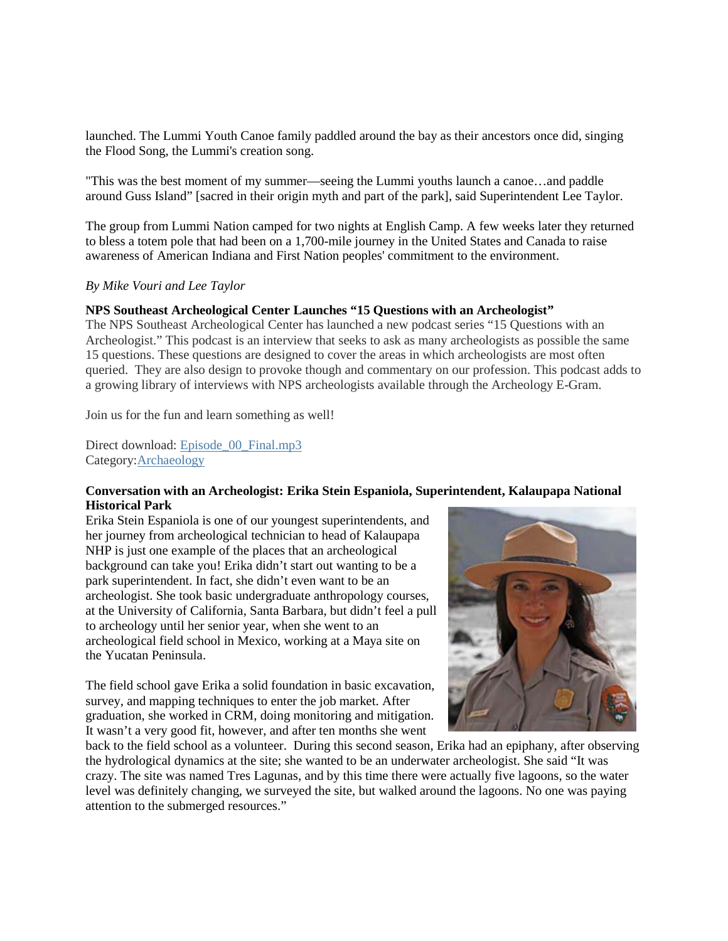launched. The Lummi Youth Canoe family paddled around the bay as their ancestors once did, singing the Flood Song, the Lummi's creation song.

"This was the best moment of my summer—seeing the Lummi youths launch a canoe…and paddle around Guss Island" [sacred in their origin myth and part of the park], said Superintendent Lee Taylor.

The group from Lummi Nation camped for two nights at English Camp. A few weeks later they returned to bless a totem pole that had been on a 1,700-mile journey in the United States and Canada to raise awareness of American Indiana and First Nation peoples' commitment to the environment.

#### *By Mike Vouri and Lee Taylor*

### **NPS Southeast Archeological Center Launches "15 Questions with an Archeologist"**

The NPS Southeast Archeological Center has launched a new podcast series "15 Questions with an Archeologist." This podcast is an interview that seeks to ask as many archeologists as possible the same 15 questions. These questions are designed to cover the areas in which archeologists are most often queried. They are also design to provoke though and commentary on our profession. This podcast adds to a growing library of interviews with NPS archeologists available through the Archeology E-Gram.

Join us for the fun and learn something as well!

Direct download: [Episode\\_00\\_Final.mp3](http://traffic.libsyn.com/15questionswithanarcheologist/Episode_00_Final.mp3) Category[:Archaeology](http://15questionswithanarcheologist.libsyn.com/webpage/category/Archaeology)

### **Conversation with an Archeologist: Erika Stein Espaniola, Superintendent, Kalaupapa National Historical Park**

Erika Stein Espaniola is one of our youngest superintendents, and her journey from archeological technician to head of Kalaupapa NHP is just one example of the places that an archeological background can take you! Erika didn't start out wanting to be a park superintendent. In fact, she didn't even want to be an archeologist. She took basic undergraduate anthropology courses, at the University of California, Santa Barbara, but didn't feel a pull to archeology until her senior year, when she went to an archeological field school in Mexico, working at a Maya site on the Yucatan Peninsula.

The field school gave Erika a solid foundation in basic excavation, survey, and mapping techniques to enter the job market. After graduation, she worked in CRM, doing monitoring and mitigation. It wasn't a very good fit, however, and after ten months she went



back to the field school as a volunteer. During this second season, Erika had an epiphany, after observing the hydrological dynamics at the site; she wanted to be an underwater archeologist. She said "It was crazy. The site was named Tres Lagunas, and by this time there were actually five lagoons, so the water level was definitely changing, we surveyed the site, but walked around the lagoons. No one was paying attention to the submerged resources."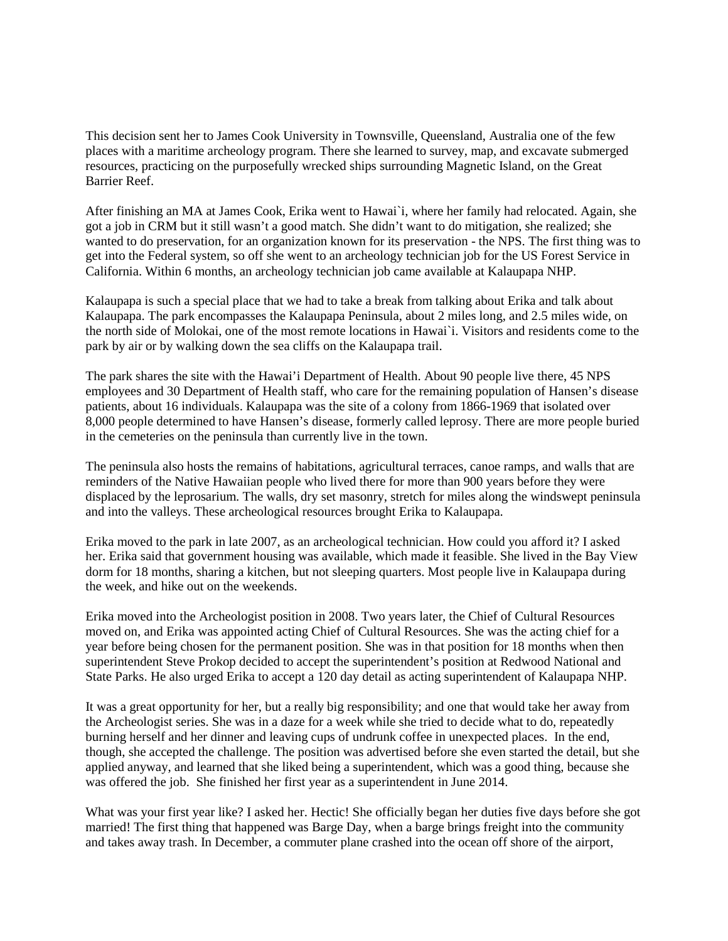This decision sent her to James Cook University in Townsville, Queensland, Australia one of the few places with a maritime archeology program. There she learned to survey, map, and excavate submerged resources, practicing on the purposefully wrecked ships surrounding Magnetic Island, on the Great Barrier Reef.

After finishing an MA at James Cook, Erika went to Hawai`i, where her family had relocated. Again, she got a job in CRM but it still wasn't a good match. She didn't want to do mitigation, she realized; she wanted to do preservation, for an organization known for its preservation - the NPS. The first thing was to get into the Federal system, so off she went to an archeology technician job for the US Forest Service in California. Within 6 months, an archeology technician job came available at Kalaupapa NHP.

Kalaupapa is such a special place that we had to take a break from talking about Erika and talk about Kalaupapa. The park encompasses the Kalaupapa Peninsula, about 2 miles long, and 2.5 miles wide, on the north side of Molokai, one of the most remote locations in Hawai`i. Visitors and residents come to the park by air or by walking down the sea cliffs on the Kalaupapa trail.

The park shares the site with the Hawai'i Department of Health. About 90 people live there, 45 NPS employees and 30 Department of Health staff, who care for the remaining population of Hansen's disease patients, about 16 individuals. Kalaupapa was the site of a colony from 1866-1969 that isolated over 8,000 people determined to have Hansen's disease, formerly called leprosy. There are more people buried in the cemeteries on the peninsula than currently live in the town.

The peninsula also hosts the remains of habitations, agricultural terraces, canoe ramps, and walls that are reminders of the Native Hawaiian people who lived there for more than 900 years before they were displaced by the leprosarium. The walls, dry set masonry, stretch for miles along the windswept peninsula and into the valleys. These archeological resources brought Erika to Kalaupapa.

Erika moved to the park in late 2007, as an archeological technician. How could you afford it? I asked her. Erika said that government housing was available, which made it feasible. She lived in the Bay View dorm for 18 months, sharing a kitchen, but not sleeping quarters. Most people live in Kalaupapa during the week, and hike out on the weekends.

Erika moved into the Archeologist position in 2008. Two years later, the Chief of Cultural Resources moved on, and Erika was appointed acting Chief of Cultural Resources. She was the acting chief for a year before being chosen for the permanent position. She was in that position for 18 months when then superintendent Steve Prokop decided to accept the superintendent's position at Redwood National and State Parks. He also urged Erika to accept a 120 day detail as acting superintendent of Kalaupapa NHP.

It was a great opportunity for her, but a really big responsibility; and one that would take her away from the Archeologist series. She was in a daze for a week while she tried to decide what to do, repeatedly burning herself and her dinner and leaving cups of undrunk coffee in unexpected places. In the end, though, she accepted the challenge. The position was advertised before she even started the detail, but she applied anyway, and learned that she liked being a superintendent, which was a good thing, because she was offered the job. She finished her first year as a superintendent in June 2014.

What was your first year like? I asked her. Hectic! She officially began her duties five days before she got married! The first thing that happened was Barge Day, when a barge brings freight into the community and takes away trash. In December, a commuter plane crashed into the ocean off shore of the airport,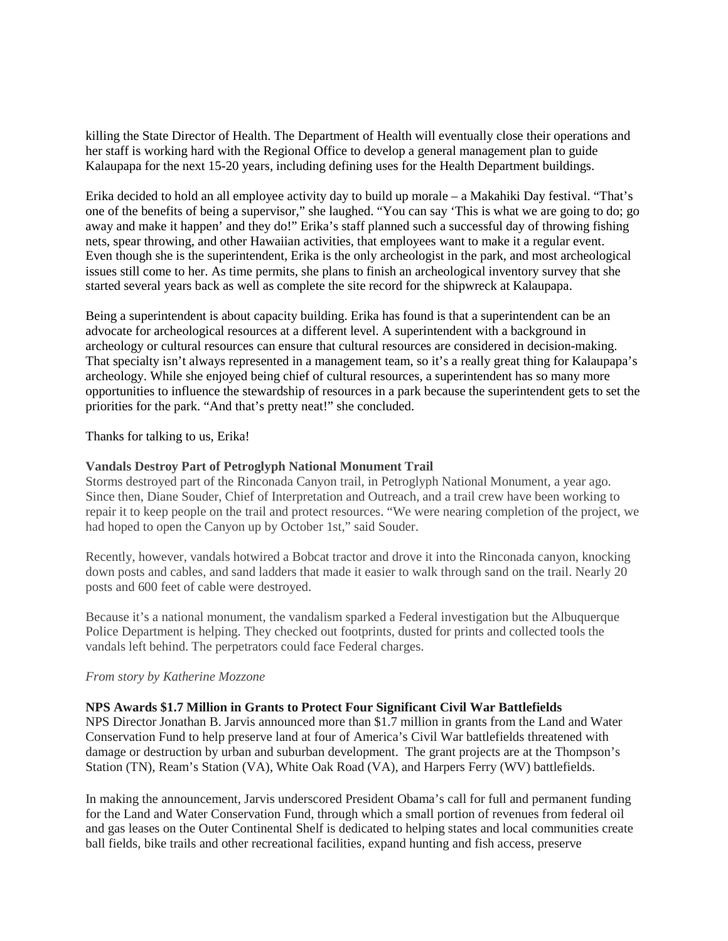killing the State Director of Health. The Department of Health will eventually close their operations and her staff is working hard with the Regional Office to develop a general management plan to guide Kalaupapa for the next 15-20 years, including defining uses for the Health Department buildings.

Erika decided to hold an all employee activity day to build up morale – a Makahiki Day festival. "That's one of the benefits of being a supervisor," she laughed. "You can say 'This is what we are going to do; go away and make it happen' and they do!" Erika's staff planned such a successful day of throwing fishing nets, spear throwing, and other Hawaiian activities, that employees want to make it a regular event. Even though she is the superintendent, Erika is the only archeologist in the park, and most archeological issues still come to her. As time permits, she plans to finish an archeological inventory survey that she started several years back as well as complete the site record for the shipwreck at Kalaupapa.

Being a superintendent is about capacity building. Erika has found is that a superintendent can be an advocate for archeological resources at a different level. A superintendent with a background in archeology or cultural resources can ensure that cultural resources are considered in decision-making. That specialty isn't always represented in a management team, so it's a really great thing for Kalaupapa's archeology. While she enjoyed being chief of cultural resources, a superintendent has so many more opportunities to influence the stewardship of resources in a park because the superintendent gets to set the priorities for the park. "And that's pretty neat!" she concluded.

Thanks for talking to us, Erika!

### **Vandals Destroy Part of Petroglyph National Monument Trail**

Storms destroyed part of the Rinconada Canyon trail, in Petroglyph National Monument, a year ago. Since then, Diane Souder, Chief of Interpretation and Outreach, and a trail crew have been working to repair it to keep people on the trail and protect resources. "We were nearing completion of the project, we had hoped to open the Canyon up by October 1st," said Souder.

Recently, however, vandals hotwired a Bobcat tractor and drove it into the Rinconada canyon, knocking down posts and cables, and sand ladders that made it easier to walk through sand on the trail. Nearly 20 posts and 600 feet of cable were destroyed.

Because it's a national monument, the vandalism sparked a Federal investigation but the Albuquerque Police Department is helping. They checked out footprints, dusted for prints and collected tools the vandals left behind. The perpetrators could face Federal charges.

#### *From story by Katherine Mozzone*

#### **NPS Awards \$1.7 Million in Grants to Protect Four Significant Civil War Battlefields**

NPS Director Jonathan B. Jarvis announced more than \$1.7 million in grants from the Land and Water Conservation Fund to help preserve land at four of America's Civil War battlefields threatened with damage or destruction by urban and suburban development. The grant projects are at the Thompson's Station (TN), Ream's Station (VA), White Oak Road (VA), and Harpers Ferry (WV) battlefields.

In making the announcement, Jarvis underscored President Obama's call for full and permanent funding for the Land and Water Conservation Fund, through which a small portion of revenues from federal oil and gas leases on the Outer Continental Shelf is dedicated to helping states and local communities create ball fields, bike trails and other recreational facilities, expand hunting and fish access, preserve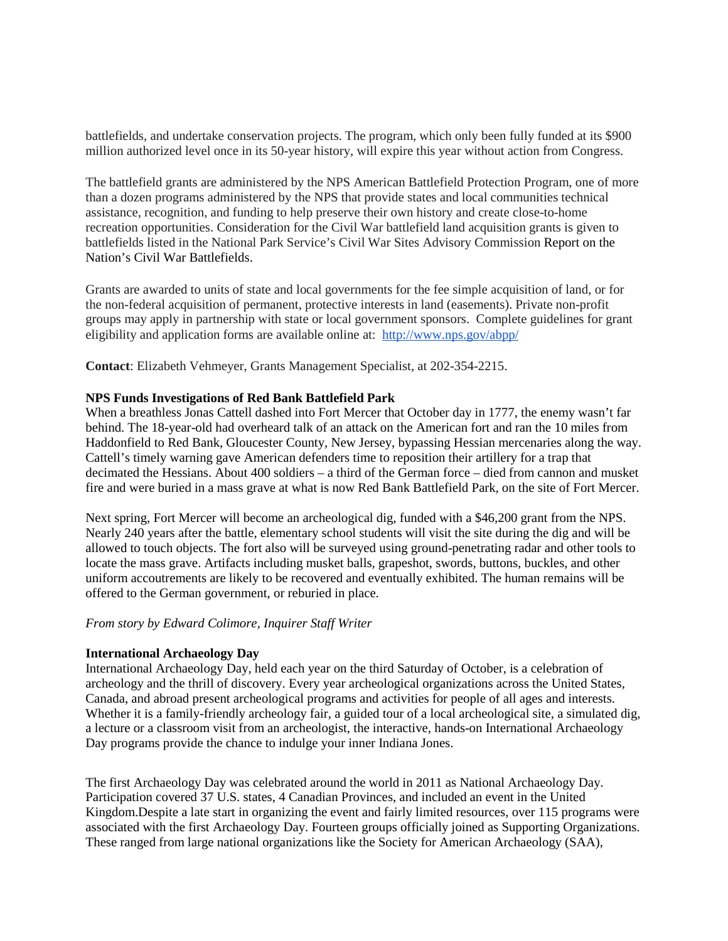battlefields, and undertake conservation projects. The program, which only been fully funded at its \$900 million authorized level once in its 50-year history, will expire this year without action from Congress.

The battlefield grants are administered by the NPS American Battlefield Protection Program, one of more than a dozen programs administered by the NPS that provide states and local communities technical assistance, recognition, and funding to help preserve their own history and create close-to-home recreation opportunities. Consideration for the Civil War battlefield land acquisition grants is given to battlefields listed in the National Park Service's Civil War Sites Advisory Commission Report on the Nation's Civil War Battlefields.

Grants are awarded to units of state and local governments for the fee simple acquisition of land, or for the non-federal acquisition of permanent, protective interests in land (easements). Private non-profit groups may apply in partnership with state or local government sponsors. Complete guidelines for grant eligibility and application forms are available online at: <http://www.nps.gov/abpp/>

**Contact**: Elizabeth Vehmeyer, Grants Management Specialist, at 202-354-2215.

### **NPS Funds Investigations of Red Bank Battlefield Park**

When a breathless Jonas Cattell dashed into Fort Mercer that October day in 1777, the enemy wasn't far behind. The 18-year-old had overheard talk of an attack on the American fort and ran the 10 miles from Haddonfield to Red Bank, Gloucester County, New Jersey, bypassing Hessian mercenaries along the way. Cattell's timely warning gave American defenders time to reposition their artillery for a trap that decimated the Hessians. About 400 soldiers – a third of the German force – died from cannon and musket fire and were buried in a mass grave at what is now Red Bank Battlefield Park, on the site of Fort Mercer.

Next spring, Fort Mercer will become an archeological dig, funded with a \$46,200 grant from the NPS. Nearly 240 years after the battle, elementary school students will visit the site during the dig and will be allowed to touch objects. The fort also will be surveyed using ground-penetrating radar and other tools to locate the mass grave. Artifacts including musket balls, grapeshot, swords, buttons, buckles, and other uniform accoutrements are likely to be recovered and eventually exhibited. The human remains will be offered to the German government, or reburied in place.

#### *From story by Edward Colimore, Inquirer Staff Writer*

## **International Archaeology Day**

International Archaeology Day, held each year on the third Saturday of October, is a celebration of archeology and the thrill of discovery. Every year archeological organizations across the United States, Canada, and abroad present archeological programs and activities for people of all ages and interests. Whether it is a family-friendly archeology fair, a guided tour of a local archeological site, a simulated dig, a lecture or a classroom visit from an archeologist, the interactive, hands-on International Archaeology Day programs provide the chance to indulge your inner Indiana Jones.

The first Archaeology Day was celebrated around the world in 2011 as National Archaeology Day. Participation covered 37 U.S. states, 4 Canadian Provinces, and included an event in the United Kingdom.Despite a late start in organizing the event and fairly limited resources, over 115 programs were associated with the first Archaeology Day. Fourteen groups officially joined as Supporting Organizations. These ranged from large national organizations like the Society for American Archaeology (SAA),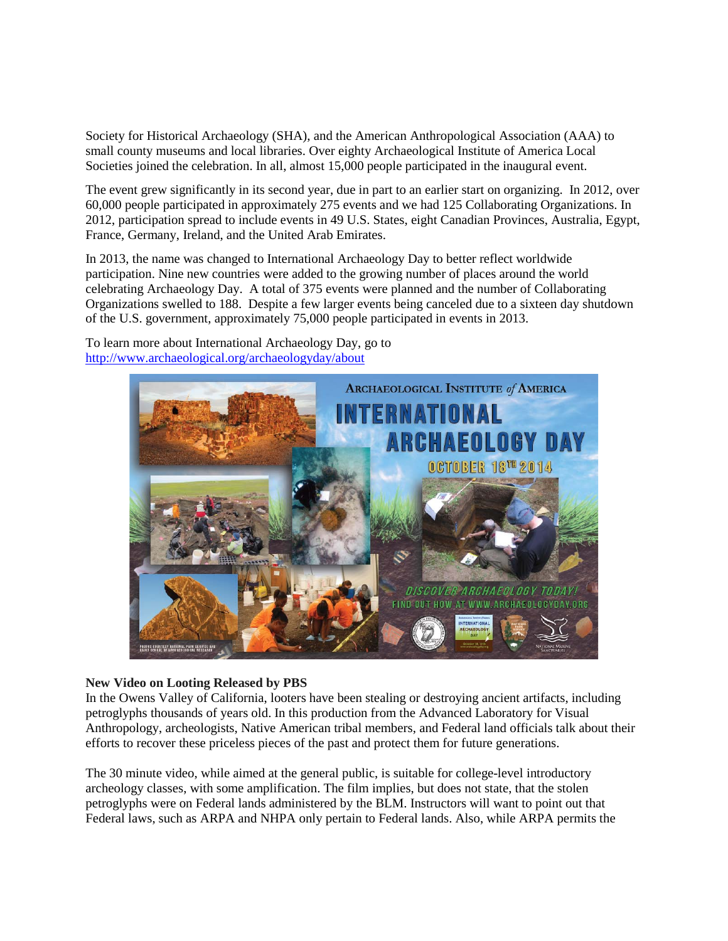Society for Historical Archaeology (SHA), and the American Anthropological Association (AAA) to small county museums and local libraries. Over eighty Archaeological Institute of America Local Societies joined the celebration. In all, almost 15,000 people participated in the inaugural event.

The event grew significantly in its second year, due in part to an earlier start on organizing. In 2012, over 60,000 people participated in approximately 275 events and we had 125 Collaborating Organizations. In 2012, participation spread to include events in 49 U.S. States, eight Canadian Provinces, Australia, Egypt, France, Germany, Ireland, and the United Arab Emirates.

In 2013, the name was changed to International Archaeology Day to better reflect worldwide participation. Nine new countries were added to the growing number of places around the world celebrating Archaeology Day. A total of 375 events were planned and the number of Collaborating Organizations swelled to 188. Despite a few larger events being canceled due to a sixteen day shutdown of the U.S. government, approximately 75,000 people participated in events in 2013.

To learn more about International Archaeology Day, go to <http://www.archaeological.org/archaeologyday/about>



## **New Video on Looting Released by PBS**

In the Owens Valley of California, looters have been stealing or destroying ancient artifacts, including petroglyphs thousands of years old. In this production from the Advanced Laboratory for Visual Anthropology, archeologists, Native American tribal members, and Federal land officials talk about their efforts to recover these priceless pieces of the past and protect them for future generations.

The 30 minute video, while aimed at the general public, is suitable for college-level introductory archeology classes, with some amplification. The film implies, but does not state, that the stolen petroglyphs were on Federal lands administered by the BLM. Instructors will want to point out that Federal laws, such as ARPA and NHPA only pertain to Federal lands. Also, while ARPA permits the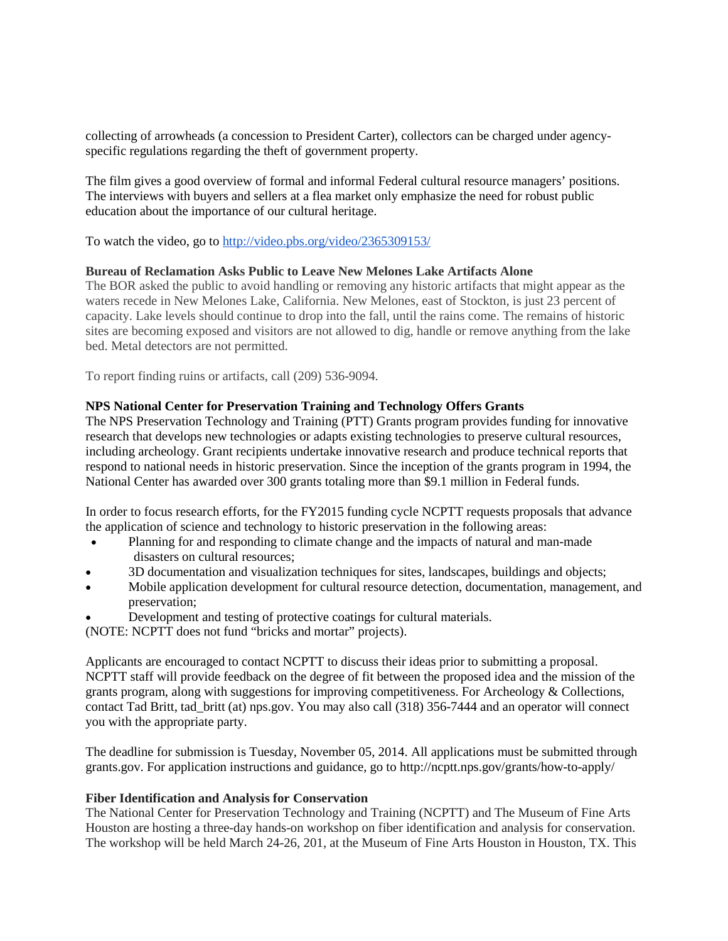collecting of arrowheads (a concession to President Carter), collectors can be charged under agencyspecific regulations regarding the theft of government property.

The film gives a good overview of formal and informal Federal cultural resource managers' positions. The interviews with buyers and sellers at a flea market only emphasize the need for robust public education about the importance of our cultural heritage.

To watch the video, go to<http://video.pbs.org/video/2365309153/>

## **Bureau of Reclamation Asks Public to Leave New Melones Lake Artifacts Alone**

The BOR asked the public to avoid handling or removing any historic artifacts that might appear as the waters recede in New Melones Lake, California. New Melones, east of Stockton, is just 23 percent of capacity. Lake levels should continue to drop into the fall, until the rains come. The remains of historic sites are becoming exposed and visitors are not allowed to dig, handle or remove anything from the lake bed. Metal detectors are not permitted.

To report finding ruins or artifacts, call (209) 536-9094.

### **NPS National Center for Preservation Training and Technology Offers Grants**

The NPS Preservation Technology and Training (PTT) Grants program provides funding for innovative research that develops new technologies or adapts existing technologies to preserve cultural resources, including archeology. Grant recipients undertake innovative research and produce technical reports that respond to national needs in historic preservation. Since the inception of the grants program in 1994, the National Center has awarded over 300 grants totaling more than \$9.1 million in Federal funds.

In order to focus research efforts, for the FY2015 funding cycle NCPTT requests proposals that advance the application of science and technology to historic preservation in the following areas:

- Planning for and responding to climate change and the impacts of natural and man-made disasters on cultural resources;
- 3D documentation and visualization techniques for sites, landscapes, buildings and objects;
- Mobile application development for cultural resource detection, documentation, management, and preservation;
- Development and testing of protective coatings for cultural materials.

(NOTE: NCPTT does not fund "bricks and mortar" projects).

Applicants are encouraged to contact NCPTT to discuss their ideas prior to submitting a proposal. NCPTT staff will provide feedback on the degree of fit between the proposed idea and the mission of the grants program, along with suggestions for improving competitiveness. For Archeology & Collections, contact Tad Britt, tad\_britt (at) nps.gov. You may also call (318) 356-7444 and an operator will connect you with the appropriate party.

The deadline for submission is Tuesday, November 05, 2014. All applications must be submitted through grants.gov. For application instructions and guidance, go to http://ncptt.nps.gov/grants/how-to-apply/

#### **Fiber Identification and Analysis for Conservation**

The National Center for Preservation Technology and Training (NCPTT) and The Museum of Fine Arts Houston are hosting a three-day hands-on workshop on fiber identification and analysis for conservation. The workshop will be held March 24-26, 201, at the Museum of Fine Arts Houston in Houston, TX. This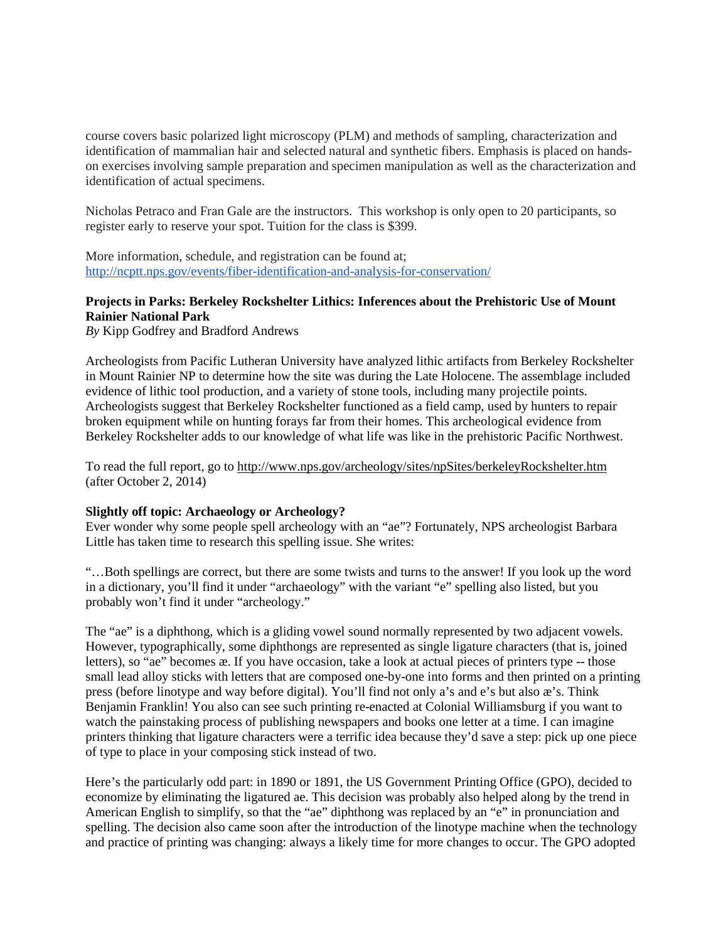course covers basic polarized light microscopy (PLM) and methods of sampling, characterization and identification of mammalian hair and selected natural and synthetic fibers. Emphasis is placed on handson exercises involving sample preparation and specimen manipulation as well as the characterization and identification of actual specimens.

Nicholas Petraco and Fran Gale are the instructors. This workshop is only open to 20 participants, so register early to reserve your spot. Tuition for the class is \$399.

More information, schedule, and registration can be found at; <http://ncptt.nps.gov/events/fiber-identification-and-analysis-for-conservation/>

# **Projects in Parks: Berkeley Rockshelter Lithics: Inferences about the Prehistoric Use of Mount Rainier National Park**

*By* Kipp Godfrey and Bradford Andrews

Archeologists from Pacific Lutheran University have analyzed lithic artifacts from Berkeley Rockshelter in Mount Rainier NP to determine how the site was during the Late Holocene. The assemblage included evidence of lithic tool production, and a variety of stone tools, including many projectile points. Archeologists suggest that Berkeley Rockshelter functioned as a field camp, used by hunters to repair broken equipment while on hunting forays far from their homes. This archeological evidence from Berkeley Rockshelter adds to our knowledge of what life was like in the prehistoric Pacific Northwest.

To read the full report, go to<http://www.nps.gov/archeology/sites/npSites/berkeleyRockshelter.htm> (after October 2, 2014)

#### **Slightly off topic: Archaeology or Archeology?**

Ever wonder why some people spell archeology with an "ae"? Fortunately, NPS archeologist Barbara Little has taken time to research this spelling issue. She writes:

"…Both spellings are correct, but there are some twists and turns to the answer! If you look up the word in a dictionary, you'll find it under "archaeology" with the variant "e" spelling also listed, but you probably won't find it under "archeology."

The "ae" is a diphthong, which is a gliding vowel sound normally represented by two adjacent vowels. However, typographically, some diphthongs are represented as single ligature characters (that is, joined letters), so "ae" becomes æ. If you have occasion, take a look at actual pieces of printers type -- those small lead alloy sticks with letters that are composed one-by-one into forms and then printed on a printing press (before linotype and way before digital). You'll find not only a's and e's but also æ's. Think Benjamin Franklin! You also can see such printing re-enacted at Colonial Williamsburg if you want to watch the painstaking process of publishing newspapers and books one letter at a time. I can imagine printers thinking that ligature characters were a terrific idea because they'd save a step: pick up one piece of type to place in your composing stick instead of two.

Here's the particularly odd part: in 1890 or 1891, the US Government Printing Office (GPO), decided to economize by eliminating the ligatured ae. This decision was probably also helped along by the trend in American English to simplify, so that the "ae" diphthong was replaced by an "e" in pronunciation and spelling. The decision also came soon after the introduction of the linotype machine when the technology and practice of printing was changing: always a likely time for more changes to occur. The GPO adopted